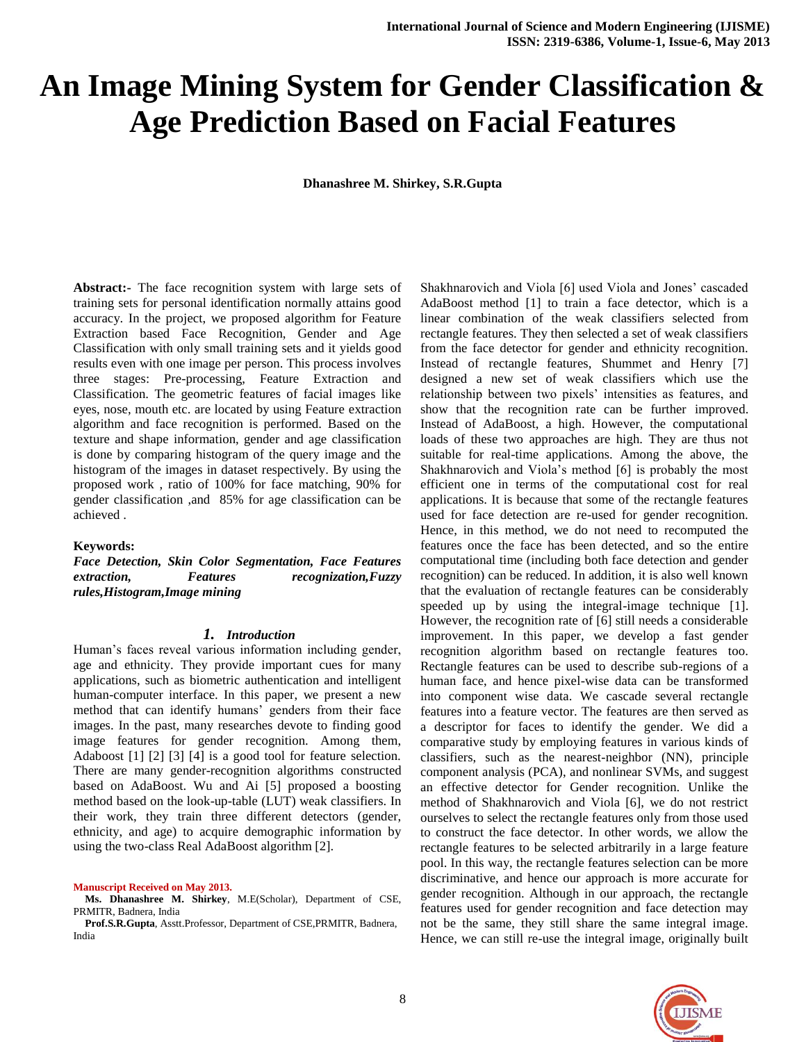# **An Image Mining System for Gender Classification & Age Prediction Based on Facial Features**

**Dhanashree M. Shirkey, S.R.Gupta**

**Abstract:-** The face recognition system with large sets of training sets for personal identification normally attains good accuracy. In the project, we proposed algorithm for Feature Extraction based Face Recognition, Gender and Age Classification with only small training sets and it yields good results even with one image per person. This process involves three stages: Pre-processing, Feature Extraction and Classification. The geometric features of facial images like eyes, nose, mouth etc. are located by using Feature extraction algorithm and face recognition is performed. Based on the texture and shape information, gender and age classification is done by comparing histogram of the query image and the histogram of the images in dataset respectively. By using the proposed work , ratio of 100% for face matching, 90% for gender classification ,and 85% for age classification can be achieved .

#### **Keywords:**

*Face Detection, Skin Color Segmentation, Face Features extraction, Features recognization,Fuzzy rules,Histogram,Image mining*

#### *1. Introduction*

Human's faces reveal various information including gender, age and ethnicity. They provide important cues for many applications, such as biometric authentication and intelligent human-computer interface. In this paper, we present a new method that can identify humans' genders from their face images. In the past, many researches devote to finding good image features for gender recognition. Among them, Adaboost [1] [2] [3] [4] is a good tool for feature selection. There are many gender-recognition algorithms constructed based on AdaBoost. Wu and Ai [5] proposed a boosting method based on the look-up-table (LUT) weak classifiers. In their work, they train three different detectors (gender, ethnicity, and age) to acquire demographic information by using the two-class Real AdaBoost algorithm [2].

#### **Manuscript Received on May 2013.**

**Ms. Dhanashree M. Shirkey**, M.E(Scholar), Department of CSE, PRMITR, Badnera, India

**Prof.S.R.Gupta**, Asstt.Professor, Department of CSE,PRMITR, Badnera, India

Shakhnarovich and Viola [6] used Viola and Jones' cascaded AdaBoost method [1] to train a face detector, which is a linear combination of the weak classifiers selected from rectangle features. They then selected a set of weak classifiers from the face detector for gender and ethnicity recognition. Instead of rectangle features, Shummet and Henry [7] designed a new set of weak classifiers which use the relationship between two pixels' intensities as features, and show that the recognition rate can be further improved. Instead of AdaBoost, a high. However, the computational loads of these two approaches are high. They are thus not suitable for real-time applications. Among the above, the Shakhnarovich and Viola's method [6] is probably the most efficient one in terms of the computational cost for real applications. It is because that some of the rectangle features used for face detection are re-used for gender recognition. Hence, in this method, we do not need to recomputed the features once the face has been detected, and so the entire computational time (including both face detection and gender recognition) can be reduced. In addition, it is also well known that the evaluation of rectangle features can be considerably speeded up by using the integral-image technique [1]. However, the recognition rate of [6] still needs a considerable improvement. In this paper, we develop a fast gender recognition algorithm based on rectangle features too. Rectangle features can be used to describe sub-regions of a human face, and hence pixel-wise data can be transformed into component wise data. We cascade several rectangle features into a feature vector. The features are then served as a descriptor for faces to identify the gender. We did a comparative study by employing features in various kinds of classifiers, such as the nearest-neighbor (NN), principle component analysis (PCA), and nonlinear SVMs, and suggest an effective detector for Gender recognition. Unlike the method of Shakhnarovich and Viola [6], we do not restrict ourselves to select the rectangle features only from those used to construct the face detector. In other words, we allow the rectangle features to be selected arbitrarily in a large feature pool. In this way, the rectangle features selection can be more discriminative, and hence our approach is more accurate for gender recognition. Although in our approach, the rectangle features used for gender recognition and face detection may not be the same, they still share the same integral image. Hence, we can still re-use the integral image, originally built

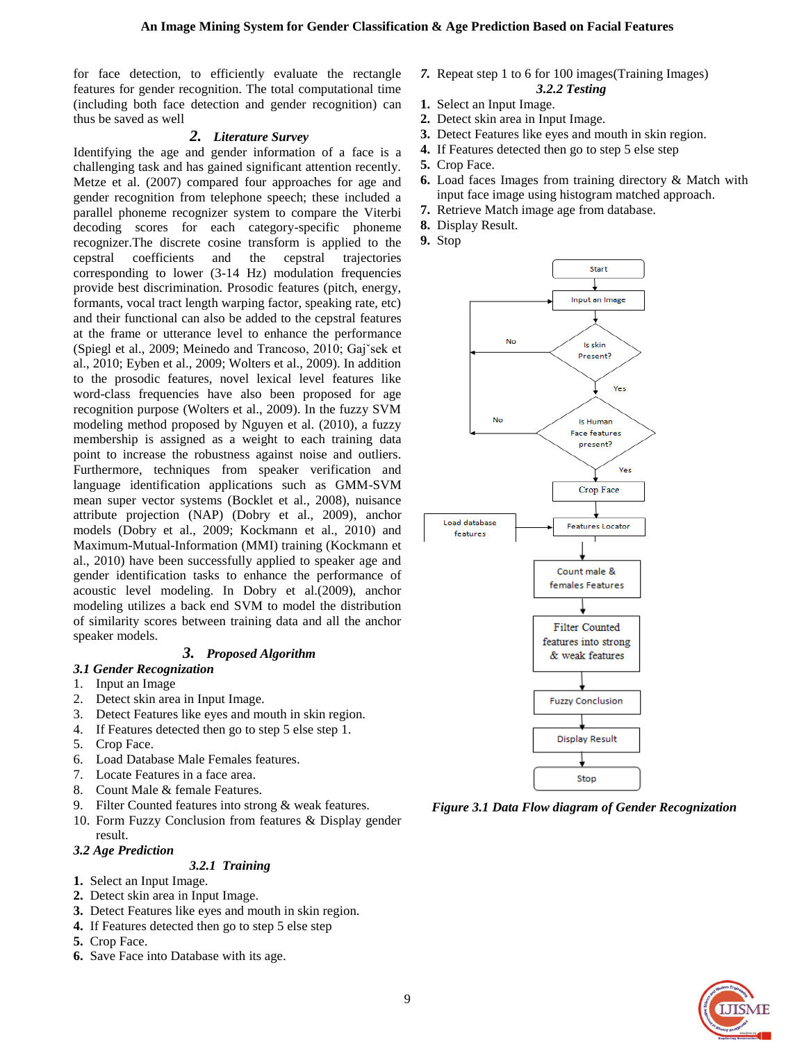for face detection, to efficiently evaluate the rectangle features for gender recognition. The total computational time (including both face detection and gender recognition) can thus be saved as well

# *2. Literature Survey*

Identifying the age and gender information of a face is a challenging task and has gained significant attention recently. Metze et al. (2007) compared four approaches for age and gender recognition from telephone speech; these included a parallel phoneme recognizer system to compare the Viterbi decoding scores for each category-specific phoneme recognizer.The discrete cosine transform is applied to the cepstral coefficients and the cepstral trajectories corresponding to lower (3-14 Hz) modulation frequencies provide best discrimination. Prosodic features (pitch, energy, formants, vocal tract length warping factor, speaking rate, etc) and their functional can also be added to the cepstral features at the frame or utterance level to enhance the performance (Spiegl et al., 2009; Meinedo and Trancoso, 2010; Gajˇsek et al., 2010; Eyben et al., 2009; Wolters et al., 2009). In addition to the prosodic features, novel lexical level features like word-class frequencies have also been proposed for age recognition purpose (Wolters et al., 2009). In the fuzzy SVM modeling method proposed by Nguyen et al. (2010), a fuzzy membership is assigned as a weight to each training data point to increase the robustness against noise and outliers. Furthermore, techniques from speaker verification and language identification applications such as GMM-SVM mean super vector systems (Bocklet et al., 2008), nuisance attribute projection (NAP) (Dobry et al., 2009), anchor models (Dobry et al., 2009; Kockmann et al., 2010) and Maximum-Mutual-Information (MMI) training (Kockmann et al., 2010) have been successfully applied to speaker age and gender identification tasks to enhance the performance of acoustic level modeling. In Dobry et al.(2009), anchor modeling utilizes a back end SVM to model the distribution of similarity scores between training data and all the anchor speaker models.

# *3. Proposed Algorithm*

- *3.1 Gender Recognization*
- 1. Input an Image
- 2. Detect skin area in Input Image.
- 3. Detect Features like eyes and mouth in skin region.
- 4. If Features detected then go to step 5 else step 1.
- 5. Crop Face.
- 6. Load Database Male Females features.
- 7. Locate Features in a face area.
- 8. Count Male & female Features.
- 9. Filter Counted features into strong & weak features.
- 10. Form Fuzzy Conclusion from features & Display gender result.

# *3.2 Age Prediction*

# *3.2.1 Training*

- **1.** Select an Input Image.
- **2.** Detect skin area in Input Image.
- **3.** Detect Features like eyes and mouth in skin region.
- **4.** If Features detected then go to step 5 else step
- **5.** Crop Face.
- **6.** Save Face into Database with its age.
- *7.* Repeat step 1 to 6 for 100 images(Training Images) *3.2.2 Testing*
- **1.** Select an Input Image.
- **2.** Detect skin area in Input Image.
- **3.** Detect Features like eyes and mouth in skin region.
- **4.** If Features detected then go to step 5 else step
- **5.** Crop Face.
- **6.** Load faces Images from training directory & Match with input face image using histogram matched approach.
- **7.** Retrieve Match image age from database.
- **8.** Display Result.
- **9.** Stop



*Figure 3.1 Data Flow diagram of Gender Recognization*

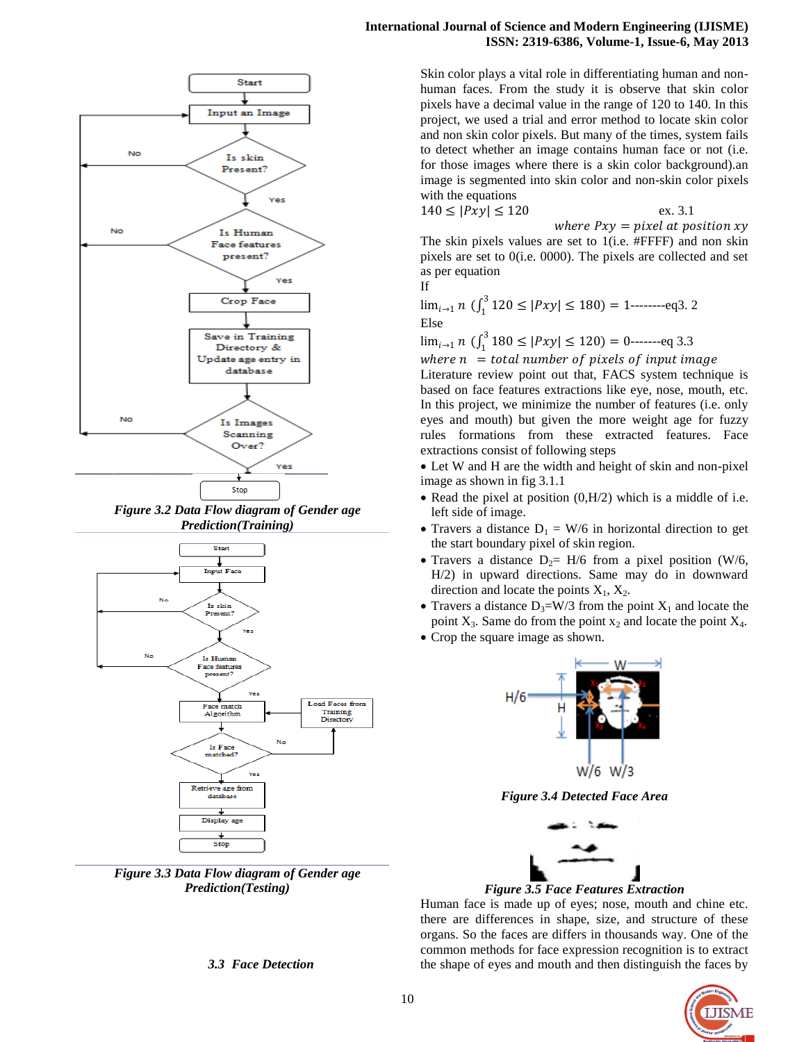

*Prediction(Training)*



*Figure 3.3 Data Flow diagram of Gender age Prediction(Testing)*

#### *3.3 Face Detection*

#### **International Journal of Science and Modern Engineering (IJISME) ISSN: 2319-6386, Volume-1, Issue-6, May 2013**

Skin color plays a vital role in differentiating human and nonhuman faces. From the study it is observe that skin color pixels have a decimal value in the range of 120 to 140. In this project, we used a trial and error method to locate skin color and non skin color pixels. But many of the times, system fails to detect whether an image contains human face or not (i.e. for those images where there is a skin color background).an image is segmented into skin color and non-skin color pixels with the equations

$$
ex. 3.1
$$

where  $Pxy = pixel$  at position xy The skin pixels values are set to 1(i.e. #FFFF) and non skin pixels are set to 0(i.e. 0000). The pixels are collected and set as per equation

If

 $140 \le |Pxy| \le 120$ 

 $\lim_{i\to 1} n \left( \int_1^3 120 \le |Pxy| \le 180 \right) = 1$  $\binom{3}{1}$  120  $\leq$   $|Pxy| \leq 180$ ) = 1---------eq3. 2 Else

 $\lim_{i \to 1} n \left( \int_1^3 180 \le |Pxy| \le 120 \right) = 0$  $\binom{3}{1}$  180  $\leq$   $|Pxy| \leq 120$ ) = 0--------eq 3.3

where  $n = total number of pixels of input image$ Literature review point out that, FACS system technique is based on face features extractions like eye, nose, mouth, etc. In this project, we minimize the number of features (i.e. only eyes and mouth) but given the more weight age for fuzzy rules formations from these extracted features. Face

 Let W and H are the width and height of skin and non-pixel image as shown in fig 3.1.1

- $\bullet$  Read the pixel at position  $(0,H/2)$  which is a middle of i.e. left side of image.
- Travers a distance  $D_1 = W/6$  in horizontal direction to get the start boundary pixel of skin region.
- Travers a distance  $D_2$ = H/6 from a pixel position (W/6, H/2) in upward directions. Same may do in downward direction and locate the points  $X_1, X_2$ .
- Travers a distance  $D_3 = W/3$  from the point  $X_1$  and locate the point  $X_3$ . Same do from the point  $x_2$  and locate the point  $X_4$ .
- Crop the square image as shown.

extractions consist of following steps



*Figure 3.4 Detected Face Area*



Human face is made up of eyes; nose, mouth and chine etc. there are differences in shape, size, and structure of these organs. So the faces are differs in thousands way. One of the common methods for face expression recognition is to extract the shape of eyes and mouth and then distinguish the faces by

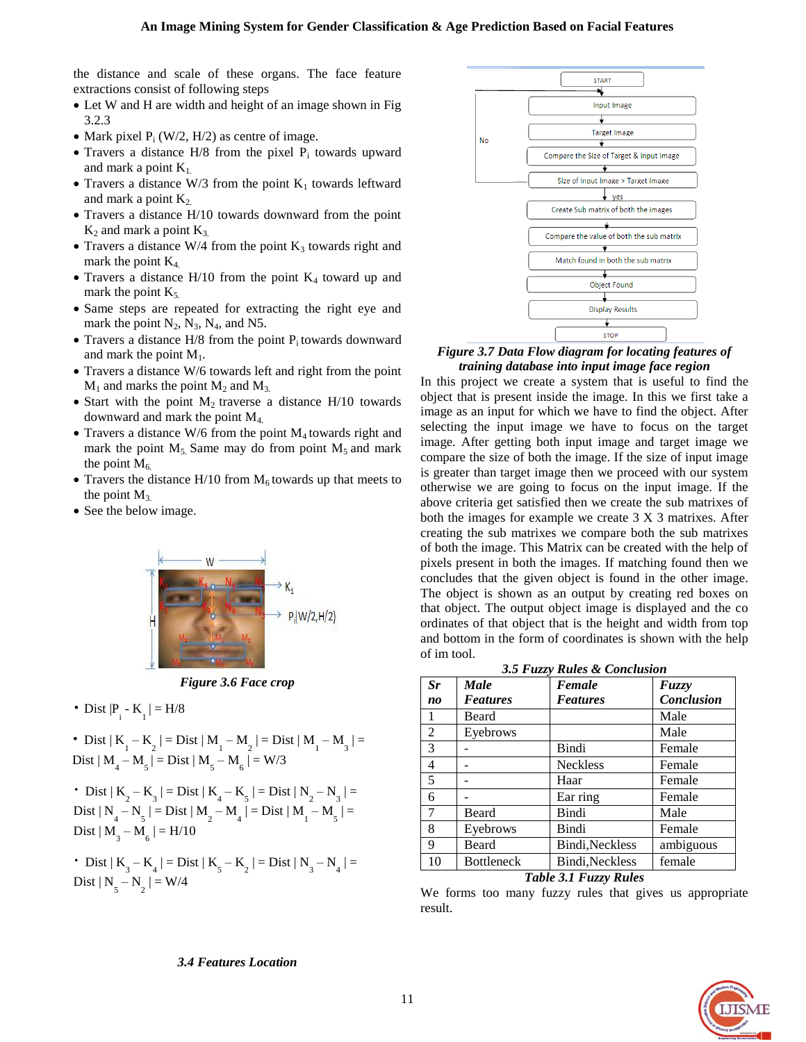the distance and scale of these organs. The face feature extractions consist of following steps

- Let W and H are width and height of an image shown in Fig 3.2.3
- Mark pixel  $P_i$  (W/2, H/2) as centre of image.
- Travers a distance  $H/8$  from the pixel  $P_i$  towards upward and mark a point  $K<sub>1</sub>$ .
- Travers a distance  $W/3$  from the point  $K_1$  towards leftward and mark a point  $K<sub>2</sub>$ .
- Travers a distance H/10 towards downward from the point  $K_2$  and mark a point  $K_3$ .
- Travers a distance W/4 from the point  $K_3$  towards right and mark the point  $K_4$ .
- Travers a distance  $H/10$  from the point  $K_4$  toward up and mark the point  $K_5$ .
- Same steps are repeated for extracting the right eye and mark the point  $N_2$ ,  $N_3$ ,  $N_4$ , and N5.
- Travers a distance  $H/8$  from the point  $P_i$  towards downward and mark the point  $M_1$ .
- Travers a distance W/6 towards left and right from the point  $M_1$  and marks the point  $M_2$  and  $M_3$ .
- Start with the point  $M_2$  traverse a distance  $H/10$  towards downward and mark the point M4.
- Travers a distance  $W/6$  from the point  $M<sub>4</sub>$  towards right and mark the point  $M_5$ . Same may do from point  $M_5$  and mark the point  $M_{6.}$
- Travers the distance  $H/10$  from  $M<sub>6</sub>$  towards up that meets to the point  $M_3$ .
- See the below image.



*Figure 3.6 Face crop*

• Dist  $|P_i - K_1| = H/8$ 

• Dist  $| K_1 - K_2 | = Dist | M_1 - M_2 | = Dist | M_1 - M_3 | =$ Dist  $|M_4 - M_5|$  = Dist  $|M_5 - M_6|$  = W/3

• Dist  $| K_2 - K_3 | = Dist | K_4 - K_5 | = Dist | N_2 - N_3 | =$ Dist  $| N_4 - N_5 | = Dist | M_2 - M_4 | = Dist | M_1 - M_5 | =$ Dist  $|M_3 - M_6| = H/10$ 

• Dist  $| K_{3} - K_{4} | = Dist | K_{5} - K_{2} | = Dist | N_{3} - N_{4} | =$ Dist  $|N_{5} - N_{2}| = W/4$ 



## *Figure 3.7 Data Flow diagram for locating features of training database into input image face region*

In this project we create a system that is useful to find the object that is present inside the image. In this we first take a image as an input for which we have to find the object. After selecting the input image we have to focus on the target image. After getting both input image and target image we compare the size of both the image. If the size of input image is greater than target image then we proceed with our system otherwise we are going to focus on the input image. If the above criteria get satisfied then we create the sub matrixes of both the images for example we create 3 X 3 matrixes. After creating the sub matrixes we compare both the sub matrixes of both the image. This Matrix can be created with the help of pixels present in both the images. If matching found then we concludes that the given object is found in the other image. The object is shown as an output by creating red boxes on that object. The output object image is displayed and the co ordinates of that object that is the height and width from top and bottom in the form of coordinates is shown with the help of im tool.

| 3.5 Fuzzy Rules & Conclusion |                   |                 |            |  |  |  |
|------------------------------|-------------------|-----------------|------------|--|--|--|
| Sr                           | <b>Male</b>       | Female          | Fuzzy      |  |  |  |
| $n_{0}$                      | <b>Features</b>   | <b>Features</b> | Conclusion |  |  |  |
| 1                            | Beard             |                 | Male       |  |  |  |
| 2                            | Eyebrows          |                 | Male       |  |  |  |
| 3                            |                   | <b>Bindi</b>    | Female     |  |  |  |
| $\overline{4}$               |                   | <b>Neckless</b> | Female     |  |  |  |
| 5                            |                   | Haar            | Female     |  |  |  |
| 6                            |                   | Ear ring        | Female     |  |  |  |
| 7                            | Beard             | Bindi           | Male       |  |  |  |
| 8                            | Eyebrows          | Bindi           | Female     |  |  |  |
| 9                            | Beard             | Bindi, Neckless | ambiguous  |  |  |  |
| 10                           | <b>Bottleneck</b> | Bindi, Neckless | female     |  |  |  |

### *Table 3.1 Fuzzy Rules*

We forms too many fuzzy rules that gives us appropriate result.



### *3.4 Features Location*